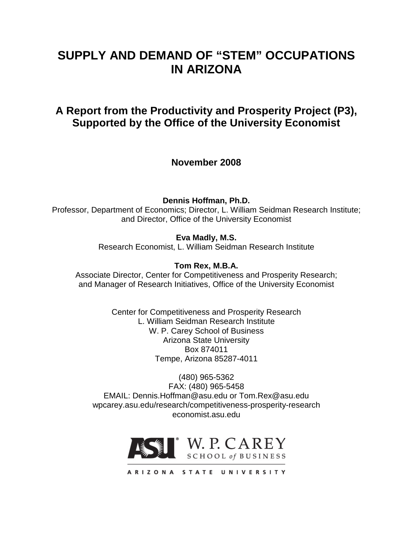# **SUPPLY AND DEMAND OF "STEM" OCCUPATIONS IN ARIZONA**

# **A Report from the Productivity and Prosperity Project (P3), Supported by the Office of the University Economist**

**November 2008**

**Dennis Hoffman, Ph.D.**

Professor, Department of Economics; Director, L. William Seidman Research Institute; and Director, Office of the University Economist

**Eva Madly, M.S.**

Research Economist, L. William Seidman Research Institute

**Tom Rex, M.B.A.**

Associate Director, Center for Competitiveness and Prosperity Research; and Manager of Research Initiatives, Office of the University Economist

> Center for Competitiveness and Prosperity Research L. William Seidman Research Institute W. P. Carey School of Business Arizona State University Box 874011 Tempe, Arizona 85287-4011

(480) 965-5362 FAX: (480) 965-5458 EMAIL: Dennis.Hoffman@asu.edu or Tom.Rex@asu.edu wpcarey.asu.edu/research/competitiveness-prosperity-research economist.asu.edu



ARIZONA STATE UNIVERSITY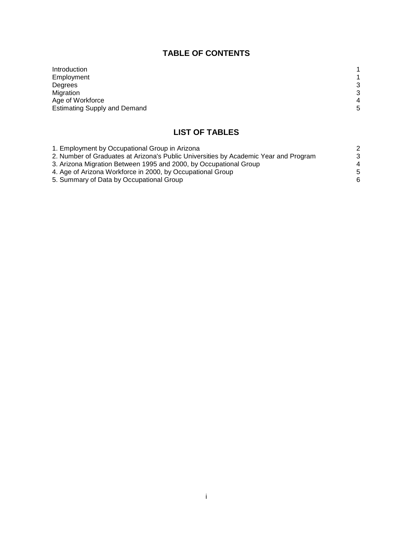## **TABLE OF CONTENTS**

| Introduction                        |                |
|-------------------------------------|----------------|
| Employment                          |                |
| Degrees                             | 3              |
| Migration                           | 3              |
| Age of Workforce                    | $\overline{4}$ |
| <b>Estimating Supply and Demand</b> | 5              |

## **LIST OF TABLES**

| 1. Employment by Occupational Group in Arizona                                       | 2  |
|--------------------------------------------------------------------------------------|----|
| 2. Number of Graduates at Arizona's Public Universities by Academic Year and Program | 3  |
| 3. Arizona Migration Between 1995 and 2000, by Occupational Group                    | 4  |
| 4. Age of Arizona Workforce in 2000, by Occupational Group                           | -5 |
| 5. Summary of Data by Occupational Group                                             | 6  |
|                                                                                      |    |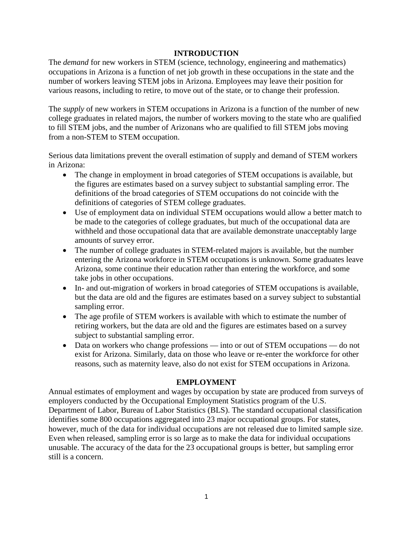### **INTRODUCTION**

The *demand* for new workers in STEM (science, technology, engineering and mathematics) occupations in Arizona is a function of net job growth in these occupations in the state and the number of workers leaving STEM jobs in Arizona. Employees may leave their position for various reasons, including to retire, to move out of the state, or to change their profession.

The *supply* of new workers in STEM occupations in Arizona is a function of the number of new college graduates in related majors, the number of workers moving to the state who are qualified to fill STEM jobs, and the number of Arizonans who are qualified to fill STEM jobs moving from a non-STEM to STEM occupation.

Serious data limitations prevent the overall estimation of supply and demand of STEM workers in Arizona:

- The change in employment in broad categories of STEM occupations is available, but the figures are estimates based on a survey subject to substantial sampling error. The definitions of the broad categories of STEM occupations do not coincide with the definitions of categories of STEM college graduates.
- Use of employment data on individual STEM occupations would allow a better match to be made to the categories of college graduates, but much of the occupational data are withheld and those occupational data that are available demonstrate unacceptably large amounts of survey error.
- The number of college graduates in STEM-related majors is available, but the number entering the Arizona workforce in STEM occupations is unknown. Some graduates leave Arizona, some continue their education rather than entering the workforce, and some take jobs in other occupations.
- In- and out-migration of workers in broad categories of STEM occupations is available, but the data are old and the figures are estimates based on a survey subject to substantial sampling error.
- The age profile of STEM workers is available with which to estimate the number of retiring workers, but the data are old and the figures are estimates based on a survey subject to substantial sampling error.
- Data on workers who change professions into or out of STEM occupations do not exist for Arizona. Similarly, data on those who leave or re-enter the workforce for other reasons, such as maternity leave, also do not exist for STEM occupations in Arizona.

## **EMPLOYMENT**

Annual estimates of employment and wages by occupation by state are produced from surveys of employers conducted by the Occupational Employment Statistics program of the U.S. Department of Labor, Bureau of Labor Statistics (BLS). The standard occupational classification identifies some 800 occupations aggregated into 23 major occupational groups. For states, however, much of the data for individual occupations are not released due to limited sample size. Even when released, sampling error is so large as to make the data for individual occupations unusable. The accuracy of the data for the 23 occupational groups is better, but sampling error still is a concern.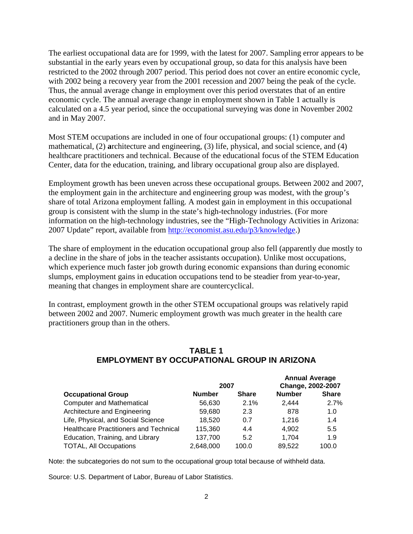The earliest occupational data are for 1999, with the latest for 2007. Sampling error appears to be substantial in the early years even by occupational group, so data for this analysis have been restricted to the 2002 through 2007 period. This period does not cover an entire economic cycle, with 2002 being a recovery year from the 2001 recession and 2007 being the peak of the cycle. Thus, the annual average change in employment over this period overstates that of an entire economic cycle. The annual average change in employment shown in Table 1 actually is calculated on a 4.5 year period, since the occupational surveying was done in November 2002 and in May 2007.

Most STEM occupations are included in one of four occupational groups: (1) computer and mathematical, (2) **a**rchitecture and engineering, (3) life, physical, and social science, and (4) healthcare practitioners and technical. Because of the educational focus of the STEM Education Center, data for the education, training, and library occupational group also are displayed.

Employment growth has been uneven across these occupational groups. Between 2002 and 2007, the employment gain in the architecture and engineering group was modest, with the group's share of total Arizona employment falling. A modest gain in employment in this occupational group is consistent with the slump in the state's high-technology industries. (For more information on the high-technology industries, see the "High-Technology Activities in Arizona: 2007 Update" report, available from [http://economist.asu.edu/p3/knowledge.](http://economist.asu.edu/p3/knowledge))

The share of employment in the education occupational group also fell (apparently due mostly to a decline in the share of jobs in the teacher assistants occupation). Unlike most occupations, which experience much faster job growth during economic expansions than during economic slumps, employment gains in education occupations tend to be steadier from year-to-year, meaning that changes in employment share are countercyclical.

In contrast, employment growth in the other STEM occupational groups was relatively rapid between 2002 and 2007. Numeric employment growth was much greater in the health care practitioners group than in the others.

|                                               | 2007          |              | <b>Annual Average</b><br>Change, 2002-2007 |              |  |
|-----------------------------------------------|---------------|--------------|--------------------------------------------|--------------|--|
| <b>Occupational Group</b>                     | <b>Number</b> | <b>Share</b> | <b>Number</b>                              | <b>Share</b> |  |
| <b>Computer and Mathematical</b>              | 56.630        | 2.1%         | 2.444                                      | 2.7%         |  |
| Architecture and Engineering                  | 59.680        | 2.3          | 878                                        | 1.0          |  |
| Life, Physical, and Social Science            | 18.520        | 0.7          | 1.216                                      | 1.4          |  |
| <b>Healthcare Practitioners and Technical</b> | 115.360       | 4.4          | 4.902                                      | 5.5          |  |
| Education, Training, and Library              | 137,700       | 5.2          | 1.704                                      | 1.9          |  |
| <b>TOTAL, All Occupations</b>                 | 2,648,000     | 100.0        | 89,522                                     | 100.0        |  |

## **TABLE 1 EMPLOYMENT BY OCCUPATIONAL GROUP IN ARIZONA**

Note: the subcategories do not sum to the occupational group total because of withheld data.

Source: U.S. Department of Labor, Bureau of Labor Statistics.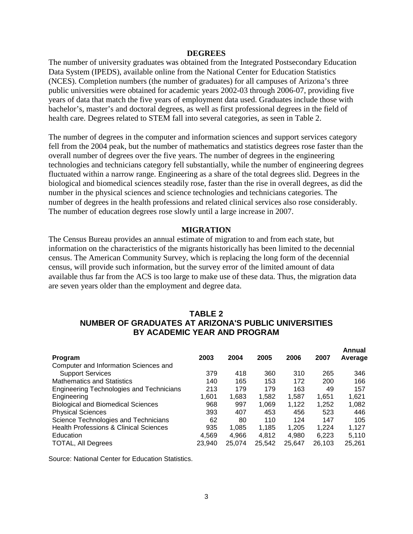#### **DEGREES**

The number of university graduates was obtained from the Integrated Postsecondary Education Data System (IPEDS), available online from the National Center for Education Statistics (NCES). Completion numbers (the number of graduates) for all campuses of Arizona's three public universities were obtained for academic years 2002-03 through 2006-07, providing five years of data that match the five years of employment data used. Graduates include those with bachelor's, master's and doctoral degrees, as well as first professional degrees in the field of health care. Degrees related to STEM fall into several categories, as seen in Table 2.

The number of degrees in the computer and information sciences and support services category fell from the 2004 peak, but the number of mathematics and statistics degrees rose faster than the overall number of degrees over the five years. The number of degrees in the engineering technologies and technicians category fell substantially, while the number of engineering degrees fluctuated within a narrow range. Engineering as a share of the total degrees slid. Degrees in the biological and biomedical sciences steadily rose, faster than the rise in overall degrees, as did the number in the physical sciences and science technologies and technicians categories. The number of degrees in the health professions and related clinical services also rose considerably. The number of education degrees rose slowly until a large increase in 2007.

#### **MIGRATION**

The Census Bureau provides an annual estimate of migration to and from each state, but information on the characteristics of the migrants historically has been limited to the decennial census. The American Community Survey, which is replacing the long form of the decennial census, will provide such information, but the survey error of the limited amount of data available thus far from the ACS is too large to make use of these data. Thus, the migration data are seven years older than the employment and degree data.

## **TABLE 2 NUMBER OF GRADUATES AT ARIZONA'S PUBLIC UNIVERSITIES BY ACADEMIC YEAR AND PROGRAM**

| Program                                           | 2003   | 2004   | 2005   | 2006   | 2007   | Annual<br>Average |
|---------------------------------------------------|--------|--------|--------|--------|--------|-------------------|
| Computer and Information Sciences and             |        |        |        |        |        |                   |
| <b>Support Services</b>                           | 379    | 418    | 360    | 310    | 265    | 346               |
| <b>Mathematics and Statistics</b>                 | 140    | 165    | 153    | 172    | 200    | 166               |
| <b>Engineering Technologies and Technicians</b>   | 213    | 179    | 179    | 163    | 49     | 157               |
| Engineering                                       | 1,601  | 1,683  | 1,582  | 1,587  | 1,651  | 1,621             |
| <b>Biological and Biomedical Sciences</b>         | 968    | 997    | 1,069  | 1,122  | 1,252  | 1,082             |
| <b>Physical Sciences</b>                          | 393    | 407    | 453    | 456    | 523    | 446               |
| Science Technologies and Technicians              | 62     | 80     | 110    | 124    | 147    | 105               |
| <b>Health Professions &amp; Clinical Sciences</b> | 935    | 1.085  | 1.185  | 1.205  | 1.224  | 1.127             |
| Education                                         | 4.569  | 4.966  | 4.812  | 4.980  | 6.223  | 5.110             |
| <b>TOTAL, All Degrees</b>                         | 23.940 | 25.074 | 25.542 | 25.647 | 26.103 | 25,261            |

Source: National Center for Education Statistics.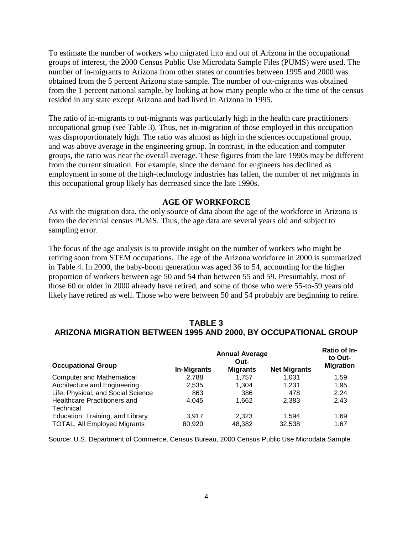To estimate the number of workers who migrated into and out of Arizona in the occupational groups of interest, the 2000 Census Public Use Microdata Sample Files (PUMS) were used. The number of in-migrants to Arizona from other states or countries between 1995 and 2000 was obtained from the 5 percent Arizona state sample. The number of out-migrants was obtained from the 1 percent national sample, by looking at how many people who at the time of the census resided in any state except Arizona and had lived in Arizona in 1995.

The ratio of in-migrants to out-migrants was particularly high in the health care practitioners occupational group (see Table 3). Thus, net in-migration of those employed in this occupation was disproportionately high. The ratio was almost as high in the sciences occupational group, and was above average in the engineering group. In contrast, in the education and computer groups, the ratio was near the overall average. These figures from the late 1990s may be different from the current situation. For example, since the demand for engineers has declined as employment in some of the high-technology industries has fallen, the number of net migrants in this occupational group likely has decreased since the late 1990s.

#### **AGE OF WORKFORCE**

As with the migration data, the only source of data about the age of the workforce in Arizona is from the decennial census PUMS. Thus, the age data are several years old and subject to sampling error.

The focus of the age analysis is to provide insight on the number of workers who might be retiring soon from STEM occupations. The age of the Arizona workforce in 2000 is summarized in Table 4. In 2000, the baby-boom generation was aged 36 to 54, accounting for the higher proportion of workers between age 50 and 54 than between 55 and 59. Presumably, most of those 60 or older in 2000 already have retired, and some of those who were 55-to-59 years old likely have retired as well. Those who were between 50 and 54 probably are beginning to retire.

## **TABLE 3 ARIZONA MIGRATION BETWEEN 1995 AND 2000, BY OCCUPATIONAL GROUP**

| <b>Occupational Group</b>           | <b>Annual Average</b> | <b>Ratio of In-</b><br>to Out-<br><b>Migration</b> |                     |      |
|-------------------------------------|-----------------------|----------------------------------------------------|---------------------|------|
|                                     | <b>In-Migrants</b>    | <b>Migrants</b>                                    | <b>Net Migrants</b> |      |
| <b>Computer and Mathematical</b>    | 2,788                 | 1.757                                              | 1.031               | 1.59 |
| Architecture and Engineering        | 2,535                 | 1,304                                              | 1.231               | 1.95 |
| Life, Physical, and Social Science  | 863                   | 386                                                | 478                 | 2.24 |
| <b>Healthcare Practitioners and</b> | 4.045                 | 1.662                                              | 2,383               | 2.43 |
| Technical                           |                       |                                                    |                     |      |
| Education, Training, and Library    | 3.917                 | 2.323                                              | 1.594               | 1.69 |
| <b>TOTAL, All Employed Migrants</b> | 80.920                | 48,382                                             | 32.538              | 1.67 |

Source: U.S. Department of Commerce, Census Bureau, 2000 Census Public Use Microdata Sample.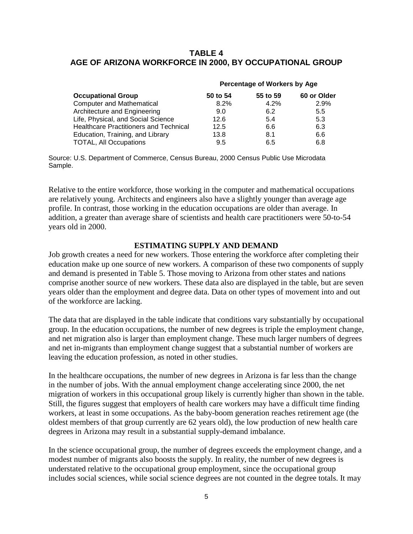## **TABLE 4 AGE OF ARIZONA WORKFORCE IN 2000, BY OCCUPATIONAL GROUP**

|                                               | Percentage of Workers by Age |          |             |  |
|-----------------------------------------------|------------------------------|----------|-------------|--|
| <b>Occupational Group</b>                     | 50 to 54                     | 55 to 59 | 60 or Older |  |
| <b>Computer and Mathematical</b>              | 8.2%                         | 4.2%     | 2.9%        |  |
| Architecture and Engineering                  | 9.0                          | 6.2      | 5.5         |  |
| Life, Physical, and Social Science            | 12.6                         | 5.4      | 5.3         |  |
| <b>Healthcare Practitioners and Technical</b> | 12.5                         | 6.6      | 6.3         |  |
| Education, Training, and Library              | 13.8                         | 8.1      | 6.6         |  |
| <b>TOTAL, All Occupations</b>                 | 9.5                          | 6.5      | 6.8         |  |

Source: U.S. Department of Commerce, Census Bureau, 2000 Census Public Use Microdata Sample.

Relative to the entire workforce, those working in the computer and mathematical occupations are relatively young. Architects and engineers also have a slightly younger than average age profile. In contrast, those working in the education occupations are older than average. In addition, a greater than average share of scientists and health care practitioners were 50-to-54 years old in 2000.

### **ESTIMATING SUPPLY AND DEMAND**

Job growth creates a need for new workers. Those entering the workforce after completing their education make up one source of new workers. A comparison of these two components of supply and demand is presented in Table 5. Those moving to Arizona from other states and nations comprise another source of new workers. These data also are displayed in the table, but are seven years older than the employment and degree data. Data on other types of movement into and out of the workforce are lacking.

The data that are displayed in the table indicate that conditions vary substantially by occupational group. In the education occupations, the number of new degrees is triple the employment change, and net migration also is larger than employment change. These much larger numbers of degrees and net in-migrants than employment change suggest that a substantial number of workers are leaving the education profession, as noted in other studies.

In the healthcare occupations, the number of new degrees in Arizona is far less than the change in the number of jobs. With the annual employment change accelerating since 2000, the net migration of workers in this occupational group likely is currently higher than shown in the table. Still, the figures suggest that employers of health care workers may have a difficult time finding workers, at least in some occupations. As the baby-boom generation reaches retirement age (the oldest members of that group currently are 62 years old), the low production of new health care degrees in Arizona may result in a substantial supply-demand imbalance.

In the science occupational group, the number of degrees exceeds the employment change, and a modest number of migrants also boosts the supply. In reality, the number of new degrees is understated relative to the occupational group employment, since the occupational group includes social sciences, while social science degrees are not counted in the degree totals. It may